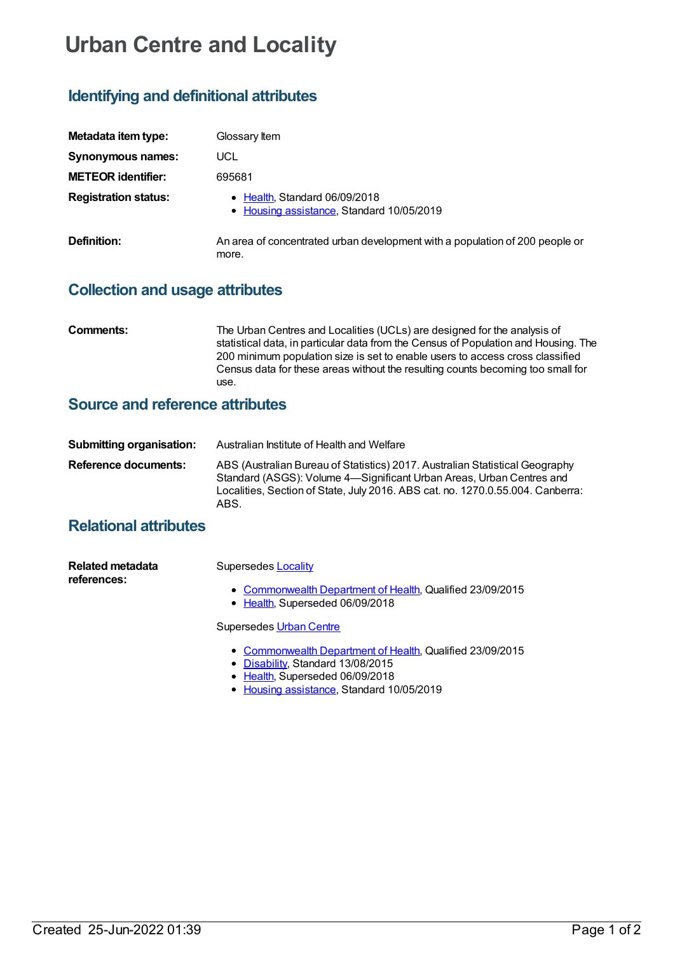# **Urban Centre and Locality**

# **Identifying and definitional attributes**

| Metadata item type:         | Glossary Item                                                                         |
|-----------------------------|---------------------------------------------------------------------------------------|
| Synonymous names:           | UCL                                                                                   |
| <b>METEOR identifier:</b>   | 695681                                                                                |
| <b>Registration status:</b> | • Health, Standard 06/09/2018<br>• Housing assistance, Standard 10/05/2019            |
| Definition:                 | An area of concentrated urban development with a population of 200 people or<br>more. |

## **Collection and usage attributes**

**Comments:** The Urban Centres and Localities (UCLs) are designed for the analysis of statistical data, in particular data from the Census of Population and Housing. The 200 minimum population size is set to enable users to access cross classified Census data for these areas without the resulting counts becoming too small for use.

### **Source and reference attributes**

| Submitting organisation: | Australian Institute of Health and Welfare                                                                                                                                                                                                     |
|--------------------------|------------------------------------------------------------------------------------------------------------------------------------------------------------------------------------------------------------------------------------------------|
| Reference documents:     | ABS (Australian Bureau of Statistics) 2017. Australian Statistical Geography<br>Standard (ASGS): Volume 4—Significant Urban Areas, Urban Centres and<br>Localities, Section of State, July 2016. ABS cat. no. 1270.0.55.004. Canberra:<br>ABS. |

## **Relational attributes**

| Related metadata | Supersedes Locality                                       |
|------------------|-----------------------------------------------------------|
| references:      |                                                           |
|                  | • Commonwealth Department of Health, Qualified 23/09/2015 |

• [Health](https://meteor.aihw.gov.au/RegistrationAuthority/12), Superseded 06/09/2018

#### Supersedes Urban [Centre](https://meteor.aihw.gov.au/content/467399)

- [Commonwealth](https://meteor.aihw.gov.au/RegistrationAuthority/10) Department of Health, Qualified 23/09/2015
- [Disability](https://meteor.aihw.gov.au/RegistrationAuthority/16), Standard 13/08/2015
- [Health](https://meteor.aihw.gov.au/RegistrationAuthority/12), Superseded 06/09/2018
- Housing [assistance](https://meteor.aihw.gov.au/RegistrationAuthority/11), Standard 10/05/2019